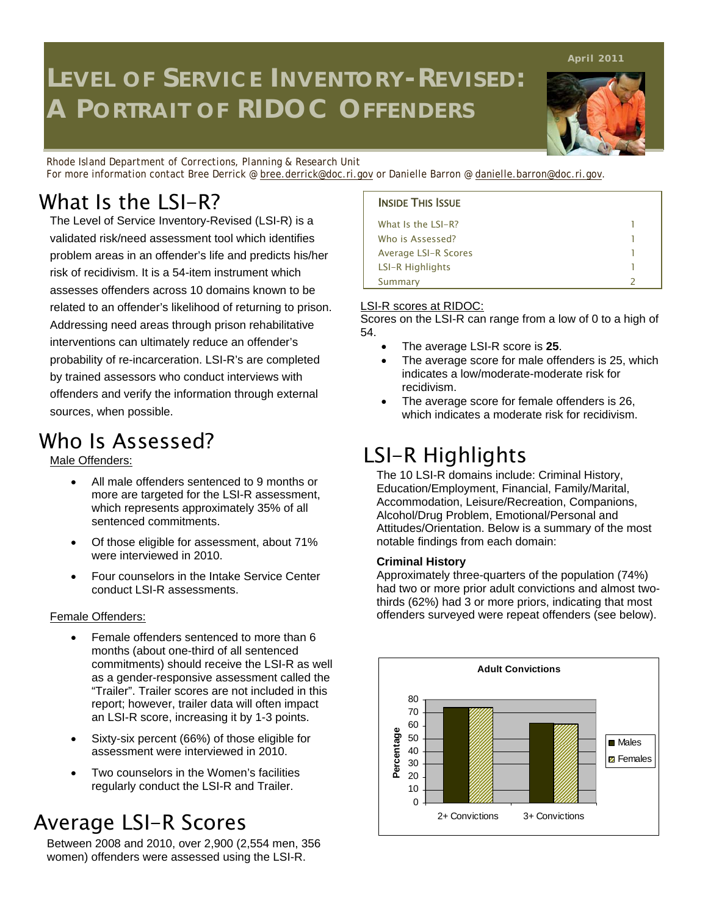# **LEVEL OF SERVICE INVENTORY-REVISED: A PORTRAIT OF RIDOC OFFENDERS**

*Rhode Island Department of Corrections, Planning & Research Unit* For more information contact Bree Derrick @ [bree.derrick@doc.ri.gov](mailto:bree.derrick@doc.ri.gov) or Danielle Barron @ danielle.barron@doc.ri.gov.

## What Is the  $LSI-R$ ? INSIDE THIS ISSUE

The Level of Service Inventory-Revised (LSI-R) is a validated risk/need assessment tool which identifies problem areas in an offender's life and predicts his/her risk of recidivism. It is a 54-item instrument which assesses offenders across 10 domains known to be related to an offender's likelihood of returning to prison. Addressing need areas through prison rehabilitative interventions can ultimately reduce an offender's probability of re-incarceration. LSI-R's are completed by trained assessors who conduct interviews with offenders and verify the information through external sources, when possible.

## Who Is Assessed?

Male Offenders:

- All male offenders sentenced to 9 months or more are targeted for the LSI-R assessment, which represents approximately 35% of all sentenced commitments.
- Of those eligible for assessment, about 71% were interviewed in 2010.
- Four counselors in the Intake Service Center conduct LSI-R assessments.

### Female Offenders:

- Female offenders sentenced to more than 6 months (about one-third of all sentenced commitments) should receive the LSI-R as well as a gender-responsive assessment called the "Trailer". Trailer scores are not included in this report; however, trailer data will often impact an LSI-R score, increasing it by 1-3 points.
- Sixty-six percent (66%) of those eligible for assessment were interviewed in 2010.
- Two counselors in the Women's facilities regularly conduct the LSI-R and Trailer.

### Average LSI-R Scores

Between 2008 and 2010, over 2,900 (2,554 men, 356 women) offenders were assessed using the LSI-R.

| What Is the LSI-R?      |  |
|-------------------------|--|
| Who is Assessed?        |  |
| Average LSI-R Scores    |  |
| <b>LSI-R Highlights</b> |  |
| Summary                 |  |

#### LSI-R scores at RIDOC:

Scores on the LSI-R can range from a low of 0 to a high of 54.

- The average LSI-R score is **25**.
- The average score for male offenders is 25, which indicates a low/moderate-moderate risk for recidivism.
- The average score for female offenders is 26, which indicates a moderate risk for recidivism.

### LSI-R Highlights

The 10 LSI-R domains include: Criminal History, Education/Employment, Financial, Family/Marital, Accommodation, Leisure/Recreation, Companions, Alcohol/Drug Problem, Emotional/Personal and Attitudes/Orientation. Below is a summary of the most notable findings from each domain:

#### **Criminal History**

Approximately three-quarters of the population (74%) had two or more prior adult convictions and almost twothirds (62%) had 3 or more priors, indicating that most offenders surveyed were repeat offenders (see below).





**April 2011**